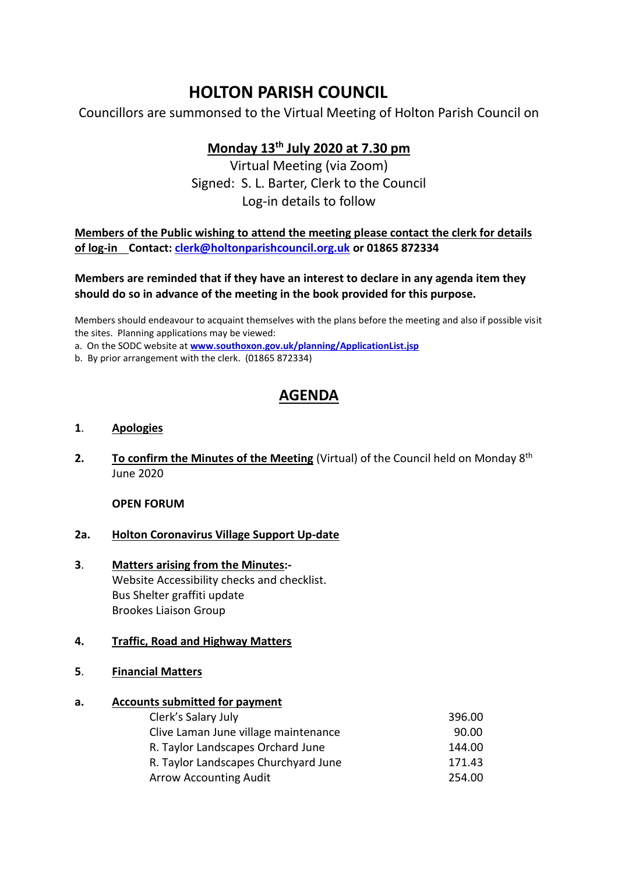# **HOLTON PARISH COUNCIL**

Councillors are summonsed to the Virtual Meeting of Holton Parish Council on

### **Monday 13th July 2020 at 7.30 pm**

Virtual Meeting (via Zoom) Signed: S. L. Barter, Clerk to the Council Log-in details to follow

**Members of the Public wishing to attend the meeting please contact the clerk for details of log-in Contact: [clerk@holtonparishcouncil.org.uk](mailto:clerk@holtonparishcouncil.org.uk) or 01865 872334**

#### **Members are reminded that if they have an interest to declare in any agenda item they should do so in advance of the meeting in the book provided for this purpose.**

Members should endeavour to acquaint themselves with the plans before the meeting and also if possible visit the sites. Planning applications may be viewed:

a. On the SODC website at **[www.southoxon.gov.uk/planning/ApplicationList.jsp](http://www.southoxon.gov.uk/planning/ApplicationList.jsp)**

b. By prior arrangement with the clerk. (01865 872334)

## **AGENDA**

#### **1**. **Apologies**

**2. To confirm the Minutes of the Meeting** (Virtual) of the Council held on Monday 8<sup>th</sup> June 2020

**OPEN FORUM**

#### **2a. Holton Coronavirus Village Support Up-date**

**3**. **Matters arising from the Minutes:-** Website Accessibility checks and checklist. Bus Shelter graffiti update Brookes Liaison Group

#### **4. Traffic, Road and Highway Matters**

**5**. **Financial Matters**

#### **a. Accounts submitted for payment**

| 396.00 |
|--------|
| 90.00  |
| 144.00 |
| 171.43 |
| 254.00 |
|        |